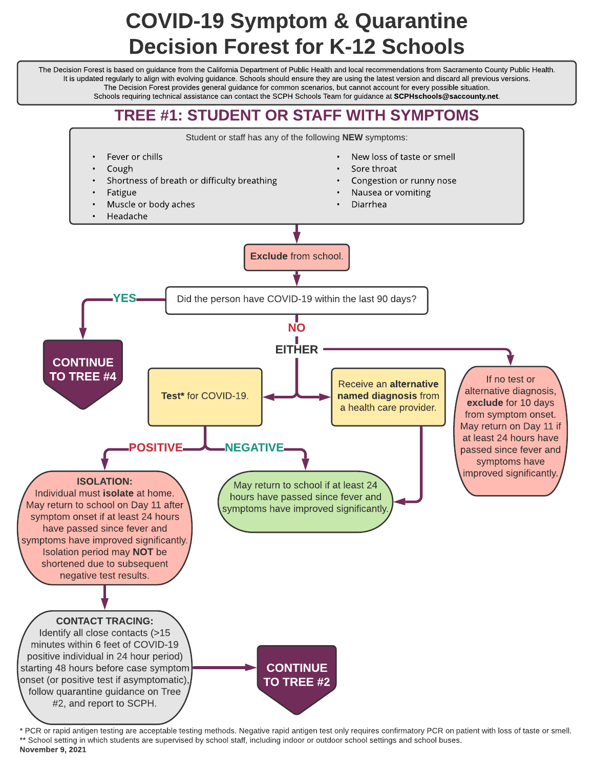# COVID-19 Symptom & Quarantine Decision Forest for K-12 Schools

The Decision Forest is based on guidance from the California Department of Public Health and local recommendations from Sacramento County Public Health. It is updated regularly to align with evolving guidance. Schools should ensure they are using the latest version and discard all previous versions. The Decision Forest provides general guidance for common scenarios, but cannot account for every possible situation.

Schools requiring technical assistance can contact the SCPH Schools Team for guidance at SCPHschools@saccounty.net.

#### TREE #1: STUDENT OR STAFF WITH SYMPTOMS



\* PCR or rapid antigen testing are acceptable testing methods. Negative rapid antigen test only requires confirmatory PCR on patient with loss of taste or smell. \*\* School setting in which students are supervised by school staff, including indoor or outdoor school settings and school buses. November 9, 2021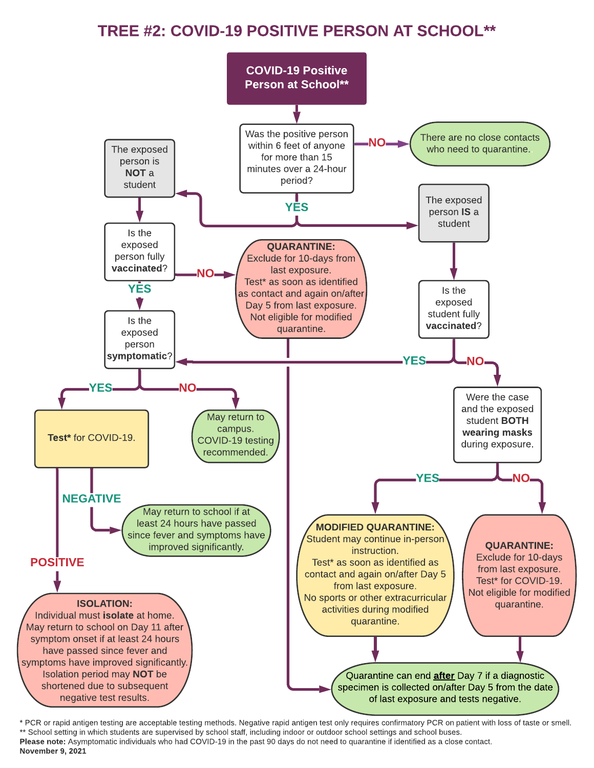#### TREE #2: COVID-19 POSITIVE PERSON AT SCHOOL\*\*



\* PCR or rapid antigen testing are acceptable testing methods. Negative rapid antigen test only requires confirmatory PCR on patient with loss of taste or smell. \*\* School setting in which students are supervised by school staff, including indoor or outdoor school settings and school buses. Please note: Asymptomatic individuals who had COVID-19 in the past 90 days do not need to quarantine if identified as a close contact. November 9, 2021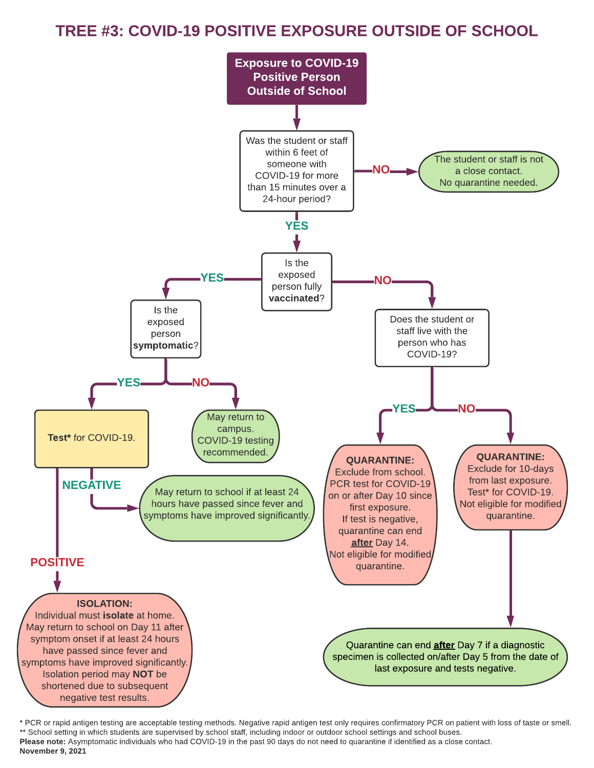### TREE #3: COVID-19 POSITIVE EXPOSURE OUTSIDE OF SCHOOL



\* PCR or rapid antigen testing are acceptable testing methods. Negative rapid antigen test only requires confirmatory PCR on patient with loss of taste or smell. \*\* School setting in which students are supervised by school staff, including indoor or outdoor school settings and school buses. Please note: Asymptomatic individuals who had COVID-19 in the past 90 days do not need to quarantine if identified as a close contact. November 9, 2021